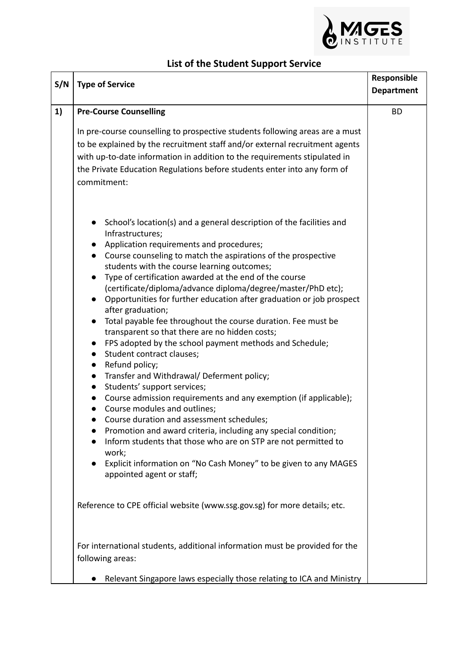

|     |                                                                                                                                                                                                                                                                                                                                                                                                                                                                                                                                                                                                                                                                                                                                                                                                                                                                                                        | Responsible       |
|-----|--------------------------------------------------------------------------------------------------------------------------------------------------------------------------------------------------------------------------------------------------------------------------------------------------------------------------------------------------------------------------------------------------------------------------------------------------------------------------------------------------------------------------------------------------------------------------------------------------------------------------------------------------------------------------------------------------------------------------------------------------------------------------------------------------------------------------------------------------------------------------------------------------------|-------------------|
| S/N | <b>Type of Service</b>                                                                                                                                                                                                                                                                                                                                                                                                                                                                                                                                                                                                                                                                                                                                                                                                                                                                                 | <b>Department</b> |
|     |                                                                                                                                                                                                                                                                                                                                                                                                                                                                                                                                                                                                                                                                                                                                                                                                                                                                                                        |                   |
| 1)  | <b>Pre-Course Counselling</b>                                                                                                                                                                                                                                                                                                                                                                                                                                                                                                                                                                                                                                                                                                                                                                                                                                                                          | <b>BD</b>         |
|     | In pre-course counselling to prospective students following areas are a must<br>to be explained by the recruitment staff and/or external recruitment agents<br>with up-to-date information in addition to the requirements stipulated in<br>the Private Education Regulations before students enter into any form of<br>commitment:<br>School's location(s) and a general description of the facilities and<br>$\bullet$                                                                                                                                                                                                                                                                                                                                                                                                                                                                               |                   |
|     | Infrastructures;<br>Application requirements and procedures;<br>$\bullet$<br>Course counseling to match the aspirations of the prospective<br>$\bullet$<br>students with the course learning outcomes;<br>Type of certification awarded at the end of the course<br>$\bullet$<br>(certificate/diploma/advance diploma/degree/master/PhD etc);<br>Opportunities for further education after graduation or job prospect<br>$\bullet$<br>after graduation;<br>Total payable fee throughout the course duration. Fee must be<br>$\bullet$<br>transparent so that there are no hidden costs;<br>FPS adopted by the school payment methods and Schedule;<br>$\bullet$<br>Student contract clauses;<br>$\bullet$<br>Refund policy;<br>$\bullet$<br>Transfer and Withdrawal/ Deferment policy;<br>$\bullet$<br>Students' support services;<br>Course admission requirements and any exemption (if applicable); |                   |
|     | Course modules and outlines;<br>Course duration and assessment schedules;<br>Promotion and award criteria, including any special condition;<br>Inform students that those who are on STP are not permitted to<br>work;<br>Explicit information on "No Cash Money" to be given to any MAGES<br>appointed agent or staff;                                                                                                                                                                                                                                                                                                                                                                                                                                                                                                                                                                                |                   |
|     | Reference to CPE official website (www.ssg.gov.sg) for more details; etc.                                                                                                                                                                                                                                                                                                                                                                                                                                                                                                                                                                                                                                                                                                                                                                                                                              |                   |
|     | For international students, additional information must be provided for the<br>following areas:                                                                                                                                                                                                                                                                                                                                                                                                                                                                                                                                                                                                                                                                                                                                                                                                        |                   |
|     | Relevant Singapore laws especially those relating to ICA and Ministry                                                                                                                                                                                                                                                                                                                                                                                                                                                                                                                                                                                                                                                                                                                                                                                                                                  |                   |

## **List of the Student Support Service**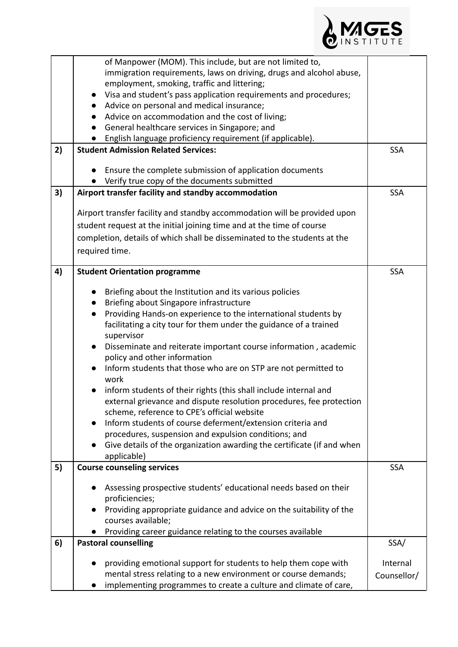

|    | of Manpower (MOM). This include, but are not limited to,                      |             |
|----|-------------------------------------------------------------------------------|-------------|
|    | immigration requirements, laws on driving, drugs and alcohol abuse,           |             |
|    | employment, smoking, traffic and littering;                                   |             |
|    | Visa and student's pass application requirements and procedures;<br>$\bullet$ |             |
|    | Advice on personal and medical insurance;<br>$\bullet$                        |             |
|    | Advice on accommodation and the cost of living;                               |             |
|    | General healthcare services in Singapore; and                                 |             |
|    | English language proficiency requirement (if applicable).                     |             |
| 2) | <b>Student Admission Related Services:</b>                                    | <b>SSA</b>  |
|    |                                                                               |             |
|    | Ensure the complete submission of application documents                       |             |
|    | Verify true copy of the documents submitted                                   |             |
| 3) | Airport transfer facility and standby accommodation                           | <b>SSA</b>  |
|    |                                                                               |             |
|    | Airport transfer facility and standby accommodation will be provided upon     |             |
|    | student request at the initial joining time and at the time of course         |             |
|    | completion, details of which shall be disseminated to the students at the     |             |
|    | required time.                                                                |             |
|    |                                                                               |             |
| 4) | <b>Student Orientation programme</b>                                          | <b>SSA</b>  |
|    |                                                                               |             |
|    | Briefing about the Institution and its various policies                       |             |
|    | Briefing about Singapore infrastructure                                       |             |
|    | Providing Hands-on experience to the international students by<br>$\bullet$   |             |
|    | facilitating a city tour for them under the guidance of a trained             |             |
|    | supervisor                                                                    |             |
|    | Disseminate and reiterate important course information, academic<br>$\bullet$ |             |
|    | policy and other information                                                  |             |
|    | Inform students that those who are on STP are not permitted to                |             |
|    | work                                                                          |             |
|    | inform students of their rights (this shall include internal and              |             |
|    | external grievance and dispute resolution procedures, fee protection          |             |
|    | scheme, reference to CPE's official website                                   |             |
|    | Inform students of course deferment/extension criteria and<br>$\bullet$       |             |
|    | procedures, suspension and expulsion conditions; and                          |             |
|    | Give details of the organization awarding the certificate (if and when        |             |
|    | applicable)                                                                   |             |
| 5) | <b>Course counseling services</b>                                             | <b>SSA</b>  |
|    |                                                                               |             |
|    | Assessing prospective students' educational needs based on their              |             |
|    | proficiencies;                                                                |             |
|    | Providing appropriate guidance and advice on the suitability of the           |             |
|    | courses available;                                                            |             |
|    | Providing career guidance relating to the courses available                   |             |
| 6) | <b>Pastoral counselling</b>                                                   | SSA/        |
|    | providing emotional support for students to help them cope with               | Internal    |
|    | mental stress relating to a new environment or course demands;                | Counsellor/ |
|    | implementing programmes to create a culture and climate of care,<br>$\bullet$ |             |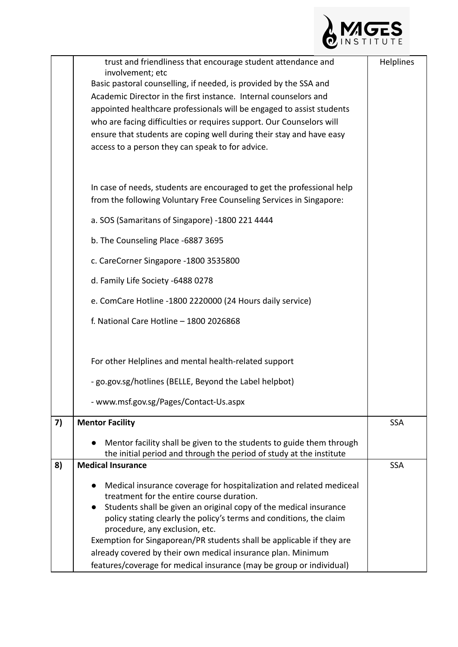

|    | trust and friendliness that encourage student attendance and<br>involvement; etc | Helplines  |
|----|----------------------------------------------------------------------------------|------------|
|    | Basic pastoral counselling, if needed, is provided by the SSA and                |            |
|    | Academic Director in the first instance. Internal counselors and                 |            |
|    |                                                                                  |            |
|    | appointed healthcare professionals will be engaged to assist students            |            |
|    | who are facing difficulties or requires support. Our Counselors will             |            |
|    | ensure that students are coping well during their stay and have easy             |            |
|    | access to a person they can speak to for advice.                                 |            |
|    |                                                                                  |            |
|    | In case of needs, students are encouraged to get the professional help           |            |
|    |                                                                                  |            |
|    | from the following Voluntary Free Counseling Services in Singapore:              |            |
|    | a. SOS (Samaritans of Singapore) -1800 221 4444                                  |            |
|    | b. The Counseling Place -6887 3695                                               |            |
|    | c. CareCorner Singapore -1800 3535800                                            |            |
|    | d. Family Life Society -6488 0278                                                |            |
|    | e. ComCare Hotline -1800 2220000 (24 Hours daily service)                        |            |
|    | f. National Care Hotline - 1800 2026868                                          |            |
|    |                                                                                  |            |
|    | For other Helplines and mental health-related support                            |            |
|    |                                                                                  |            |
|    | - go.gov.sg/hotlines (BELLE, Beyond the Label helpbot)                           |            |
|    | - www.msf.gov.sg/Pages/Contact-Us.aspx                                           |            |
| 7) | <b>Mentor Facility</b>                                                           | <b>SSA</b> |
|    | Mentor facility shall be given to the students to guide them through             |            |
|    | the initial period and through the period of study at the institute              |            |
| 8) | <b>Medical Insurance</b>                                                         | <b>SSA</b> |
|    |                                                                                  |            |
|    | Medical insurance coverage for hospitalization and related mediceal              |            |
|    | treatment for the entire course duration.                                        |            |
|    | Students shall be given an original copy of the medical insurance<br>$\bullet$   |            |
|    | policy stating clearly the policy's terms and conditions, the claim              |            |
|    | procedure, any exclusion, etc.                                                   |            |
|    | Exemption for Singaporean/PR students shall be applicable if they are            |            |
|    | already covered by their own medical insurance plan. Minimum                     |            |
|    | features/coverage for medical insurance (may be group or individual)             |            |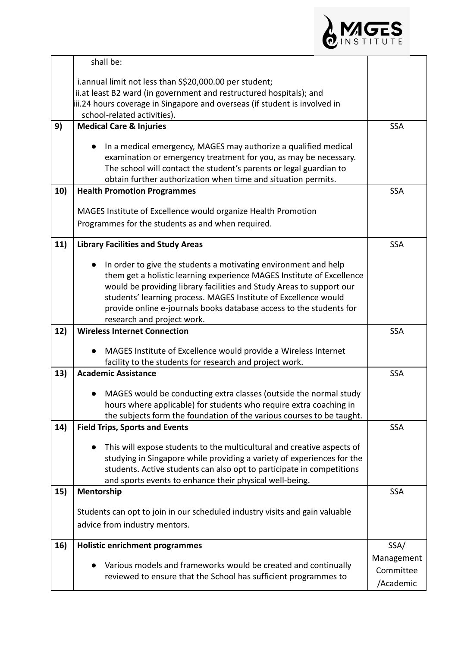

|     | shall be:                                                                                                                           |            |
|-----|-------------------------------------------------------------------------------------------------------------------------------------|------------|
|     | i.annual limit not less than S\$20,000.00 per student;                                                                              |            |
|     | ii.at least B2 ward (in government and restructured hospitals); and                                                                 |            |
|     | iii.24 hours coverage in Singapore and overseas (if student is involved in                                                          |            |
| 9)  | school-related activities).<br><b>Medical Care &amp; Injuries</b>                                                                   | <b>SSA</b> |
|     |                                                                                                                                     |            |
|     | In a medical emergency, MAGES may authorize a qualified medical<br>examination or emergency treatment for you, as may be necessary. |            |
|     | The school will contact the student's parents or legal guardian to<br>obtain further authorization when time and situation permits. |            |
| 10) | <b>Health Promotion Programmes</b>                                                                                                  | <b>SSA</b> |
|     | MAGES Institute of Excellence would organize Health Promotion                                                                       |            |
|     | Programmes for the students as and when required.                                                                                   |            |
|     |                                                                                                                                     |            |
| 11) | <b>Library Facilities and Study Areas</b>                                                                                           | <b>SSA</b> |
|     | In order to give the students a motivating environment and help                                                                     |            |
|     | them get a holistic learning experience MAGES Institute of Excellence                                                               |            |
|     | would be providing library facilities and Study Areas to support our                                                                |            |
|     | students' learning process. MAGES Institute of Excellence would                                                                     |            |
|     | provide online e-journals books database access to the students for                                                                 |            |
| 12) | research and project work.<br><b>Wireless Internet Connection</b>                                                                   | <b>SSA</b> |
|     |                                                                                                                                     |            |
|     | MAGES Institute of Excellence would provide a Wireless Internet                                                                     |            |
|     | facility to the students for research and project work.                                                                             |            |
| 13) | <b>Academic Assistance</b>                                                                                                          | <b>SSA</b> |
|     | MAGES would be conducting extra classes (outside the normal study                                                                   |            |
|     | hours where applicable) for students who require extra coaching in                                                                  |            |
|     | the subjects form the foundation of the various courses to be taught.                                                               |            |
| 14) | <b>Field Trips, Sports and Events</b>                                                                                               | <b>SSA</b> |
|     | This will expose students to the multicultural and creative aspects of                                                              |            |
|     | studying in Singapore while providing a variety of experiences for the                                                              |            |
|     | students. Active students can also opt to participate in competitions                                                               |            |
|     | and sports events to enhance their physical well-being.                                                                             |            |
| 15) | Mentorship                                                                                                                          | <b>SSA</b> |
|     | Students can opt to join in our scheduled industry visits and gain valuable                                                         |            |
|     | advice from industry mentors.                                                                                                       |            |
| 16) | <b>Holistic enrichment programmes</b>                                                                                               | SSA/       |
|     |                                                                                                                                     | Management |
|     | Various models and frameworks would be created and continually                                                                      | Committee  |
|     | reviewed to ensure that the School has sufficient programmes to                                                                     | /Academic  |